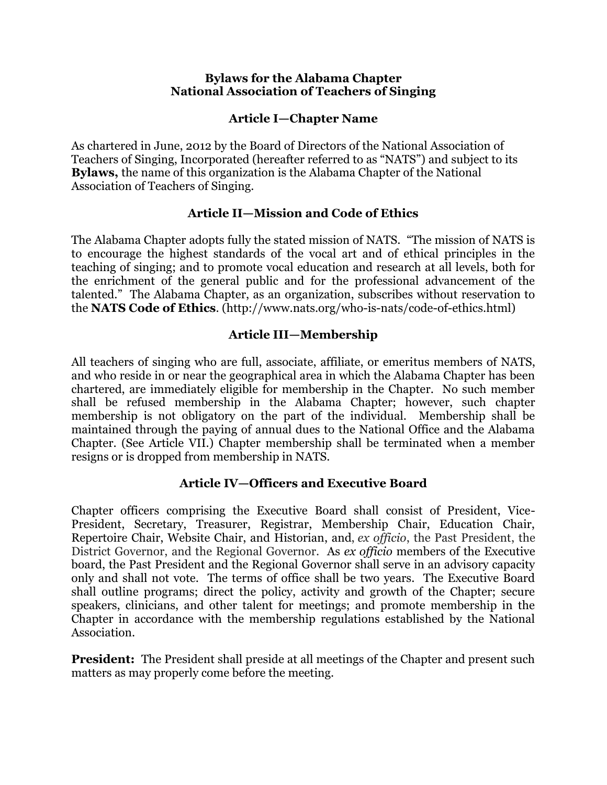#### **Bylaws for the Alabama Chapter National Association of Teachers of Singing**

## **Article I—Chapter Name**

As chartered in June, 2012 by the Board of Directors of the National Association of Teachers of Singing, Incorporated (hereafter referred to as "NATS") and subject to its **Bylaws,** the name of this organization is the Alabama Chapter of the National Association of Teachers of Singing.

## **Article II—Mission and Code of Ethics**

The Alabama Chapter adopts fully the stated mission of NATS. "The mission of NATS is to encourage the highest standards of the vocal art and of ethical principles in the teaching of singing; and to promote vocal education and research at all levels, both for the enrichment of the general public and for the professional advancement of the talented." The Alabama Chapter, as an organization, subscribes without reservation to the **NATS Code of Ethics**. (http://www.nats.org/who-is-nats/code-of-ethics.html)

## **Article III—Membership**

All teachers of singing who are full, associate, affiliate, or emeritus members of NATS, and who reside in or near the geographical area in which the Alabama Chapter has been chartered, are immediately eligible for membership in the Chapter. No such member shall be refused membership in the Alabama Chapter; however, such chapter membership is not obligatory on the part of the individual. Membership shall be maintained through the paying of annual dues to the National Office and the Alabama Chapter. (See Article VII.) Chapter membership shall be terminated when a member resigns or is dropped from membership in NATS.

### **Article IV—Officers and Executive Board**

Chapter officers comprising the Executive Board shall consist of President, Vice-President, Secretary, Treasurer, Registrar, Membership Chair, Education Chair, Repertoire Chair, Website Chair, and Historian, and, *ex officio*, the Past President, the District Governor, and the Regional Governor. As *ex officio* members of the Executive board, the Past President and the Regional Governor shall serve in an advisory capacity only and shall not vote. The terms of office shall be two years. The Executive Board shall outline programs; direct the policy, activity and growth of the Chapter; secure speakers, clinicians, and other talent for meetings; and promote membership in the Chapter in accordance with the membership regulations established by the National Association.

**President:** The President shall preside at all meetings of the Chapter and present such matters as may properly come before the meeting.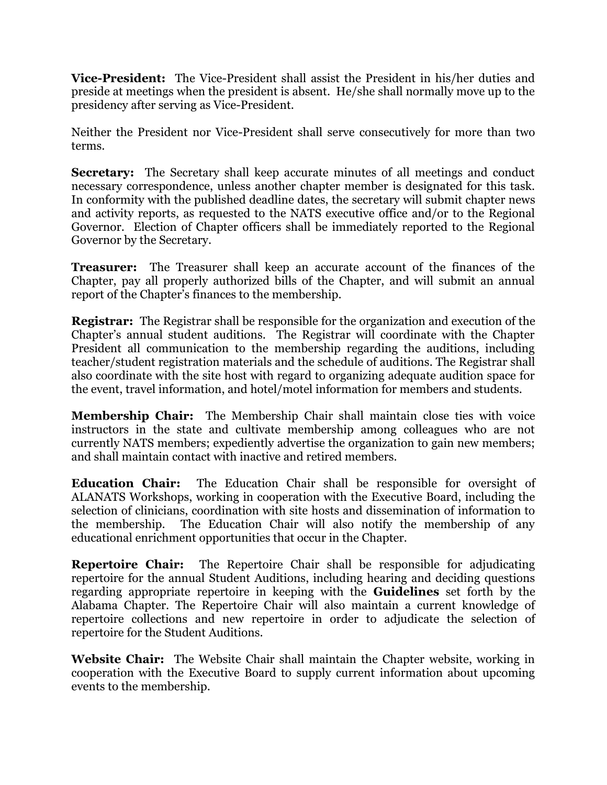**Vice-President:** The Vice-President shall assist the President in his/her duties and preside at meetings when the president is absent. He/she shall normally move up to the presidency after serving as Vice-President.

Neither the President nor Vice-President shall serve consecutively for more than two terms.

**Secretary:** The Secretary shall keep accurate minutes of all meetings and conduct necessary correspondence, unless another chapter member is designated for this task. In conformity with the published deadline dates, the secretary will submit chapter news and activity reports, as requested to the NATS executive office and/or to the Regional Governor. Election of Chapter officers shall be immediately reported to the Regional Governor by the Secretary.

**Treasurer:** The Treasurer shall keep an accurate account of the finances of the Chapter, pay all properly authorized bills of the Chapter, and will submit an annual report of the Chapter's finances to the membership.

**Registrar:** The Registrar shall be responsible for the organization and execution of the Chapter's annual student auditions. The Registrar will coordinate with the Chapter President all communication to the membership regarding the auditions, including teacher/student registration materials and the schedule of auditions. The Registrar shall also coordinate with the site host with regard to organizing adequate audition space for the event, travel information, and hotel/motel information for members and students.

**Membership Chair:** The Membership Chair shall maintain close ties with voice instructors in the state and cultivate membership among colleagues who are not currently NATS members; expediently advertise the organization to gain new members; and shall maintain contact with inactive and retired members.

**Education Chair:** The Education Chair shall be responsible for oversight of ALANATS Workshops, working in cooperation with the Executive Board, including the selection of clinicians, coordination with site hosts and dissemination of information to the membership. The Education Chair will also notify the membership of any educational enrichment opportunities that occur in the Chapter.

**Repertoire Chair:** The Repertoire Chair shall be responsible for adjudicating repertoire for the annual Student Auditions, including hearing and deciding questions regarding appropriate repertoire in keeping with the **Guidelines** set forth by the Alabama Chapter. The Repertoire Chair will also maintain a current knowledge of repertoire collections and new repertoire in order to adjudicate the selection of repertoire for the Student Auditions.

**Website Chair:** The Website Chair shall maintain the Chapter website, working in cooperation with the Executive Board to supply current information about upcoming events to the membership.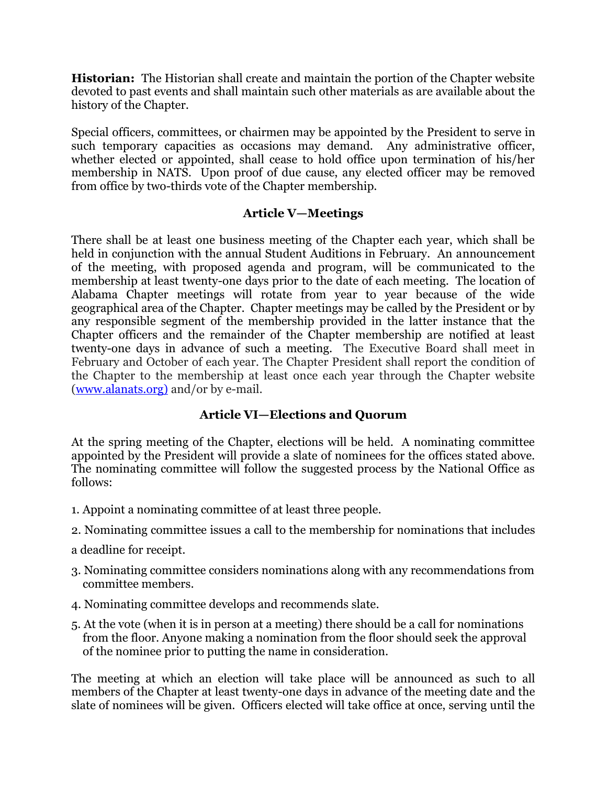**Historian:** The Historian shall create and maintain the portion of the Chapter website devoted to past events and shall maintain such other materials as are available about the history of the Chapter.

Special officers, committees, or chairmen may be appointed by the President to serve in such temporary capacities as occasions may demand. Any administrative officer, whether elected or appointed, shall cease to hold office upon termination of his/her membership in NATS. Upon proof of due cause, any elected officer may be removed from office by two-thirds vote of the Chapter membership.

# **Article V—Meetings**

There shall be at least one business meeting of the Chapter each year, which shall be held in conjunction with the annual Student Auditions in February. An announcement of the meeting, with proposed agenda and program, will be communicated to the membership at least twenty-one days prior to the date of each meeting. The location of Alabama Chapter meetings will rotate from year to year because of the wide geographical area of the Chapter. Chapter meetings may be called by the President or by any responsible segment of the membership provided in the latter instance that the Chapter officers and the remainder of the Chapter membership are notified at least twenty-one days in advance of such a meeting. The Executive Board shall meet in February and October of each year. The Chapter President shall report the condition of the Chapter to the membership at least once each year through the Chapter website (www.alanats.org) and/or by e-mail.

# **Article VI—Elections and Quorum**

At the spring meeting of the Chapter, elections will be held. A nominating committee appointed by the President will provide a slate of nominees for the offices stated above. The nominating committee will follow the suggested process by the National Office as follows:

- 1. Appoint a nominating committee of at least three people.
- 2. Nominating committee issues a call to the membership for nominations that includes
- a deadline for receipt.
- 3. Nominating committee considers nominations along with any recommendations from committee members.
- 4. Nominating committee develops and recommends slate.
- 5. At the vote (when it is in person at a meeting) there should be a call for nominations from the floor. Anyone making a nomination from the floor should seek the approval of the nominee prior to putting the name in consideration.

The meeting at which an election will take place will be announced as such to all members of the Chapter at least twenty-one days in advance of the meeting date and the slate of nominees will be given. Officers elected will take office at once, serving until the